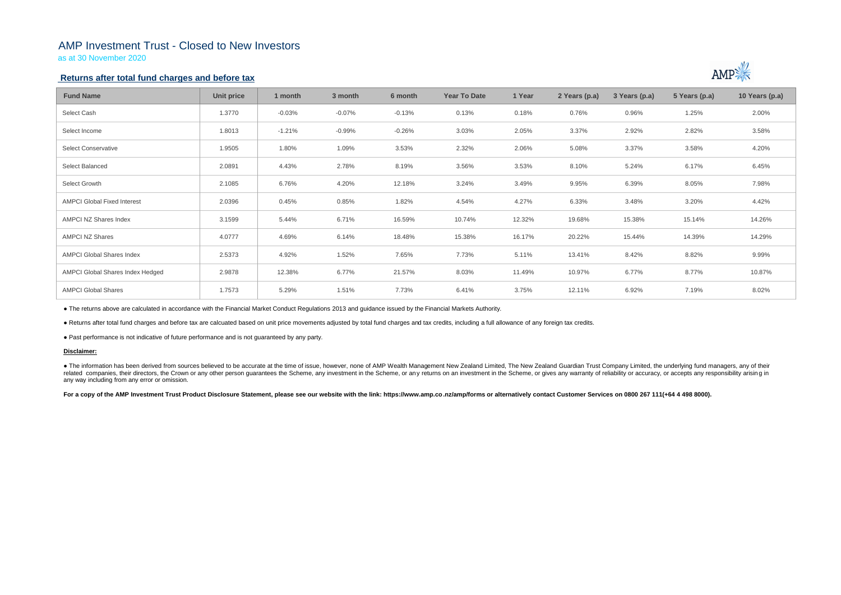## AMP Investment Trust - Closed to New Investors

as at 30 November 2020

## **Returns after total fund charges and before tax**

| <b>Fund Name</b>                   | <b>Unit price</b> | 1 month  | 3 month  | 6 month  | <b>Year To Date</b> | 1 Year | 2 Years (p.a) | 3 Years (p.a) | 5 Years (p.a) | 10 Years (p.a) |
|------------------------------------|-------------------|----------|----------|----------|---------------------|--------|---------------|---------------|---------------|----------------|
| Select Cash                        | 1.3770            | $-0.03%$ | $-0.07%$ | $-0.13%$ | 0.13%               | 0.18%  | 0.76%         | 0.96%         | 1.25%         | 2.00%          |
| Select Income                      | 1.8013            | $-1.21%$ | $-0.99%$ | $-0.26%$ | 3.03%               | 2.05%  | 3.37%         | 2.92%         | 2.82%         | 3.58%          |
| <b>Select Conservative</b>         | 1.9505            | 1.80%    | 1.09%    | 3.53%    | 2.32%               | 2.06%  | 5.08%         | 3.37%         | 3.58%         | 4.20%          |
| Select Balanced                    | 2.0891            | 4.43%    | 2.78%    | 8.19%    | 3.56%               | 3.53%  | 8.10%         | 5.24%         | 6.17%         | 6.45%          |
| Select Growth                      | 2.1085            | 6.76%    | 4.20%    | 12.18%   | 3.24%               | 3.49%  | 9.95%         | 6.39%         | 8.05%         | 7.98%          |
| <b>AMPCI Global Fixed Interest</b> | 2.0396            | 0.45%    | 0.85%    | 1.82%    | 4.54%               | 4.27%  | 6.33%         | 3.48%         | 3.20%         | 4.42%          |
| AMPCI NZ Shares Index              | 3.1599            | 5.44%    | 6.71%    | 16.59%   | 10.74%              | 12.32% | 19.68%        | 15.38%        | 15.14%        | 14.26%         |
| <b>AMPCI NZ Shares</b>             | 4.0777            | 4.69%    | 6.14%    | 18.48%   | 15.38%              | 16.17% | 20.22%        | 15.44%        | 14.39%        | 14.29%         |
| <b>AMPCI Global Shares Index</b>   | 2.5373            | 4.92%    | 1.52%    | 7.65%    | 7.73%               | 5.11%  | 13.41%        | 8.42%         | 8.82%         | 9.99%          |
| AMPCI Global Shares Index Hedged   | 2.9878            | 12.38%   | 6.77%    | 21.57%   | 8.03%               | 11.49% | 10.97%        | 6.77%         | 8.77%         | 10.87%         |
| <b>AMPCI Global Shares</b>         | 1.7573            | 5.29%    | 1.51%    | 7.73%    | 6.41%               | 3.75%  | 12.11%        | 6.92%         | 7.19%         | 8.02%          |

• The information has been derived from sources believed to be accurate at the time of issue, however, none of AMP Wealth Management New Zealand Limited, The New Zealand Guardian Trust Company Limited, the underlying fund related companies, their directors, the Crown or any other person quarantees the Scheme, any investment in the Scheme, or any returns on an investment in the Scheme, or gives any warranty of reliability or accuracy, or acc any way including from any error or omission.

For a copy of the AMP Investment Trust Product Disclosure Statement, please see our website with the link: https://www.amp.co.nz/amp/forms or alternatively contact Customer Services on 0800 267 111(+64 4 498 8000).



● The returns above are calculated in accordance with the Financial Market Conduct Regulations 2013 and guidance issued by the Financial Markets Authority.

● Returns after total fund charges and before tax are calcuated based on unit price movements adjusted by total fund charges and tax credits, including a full allowance of any foreign tax credits.

● Past performance is not indicative of future performance and is not guaranteed by any party.

### **Disclaimer:**